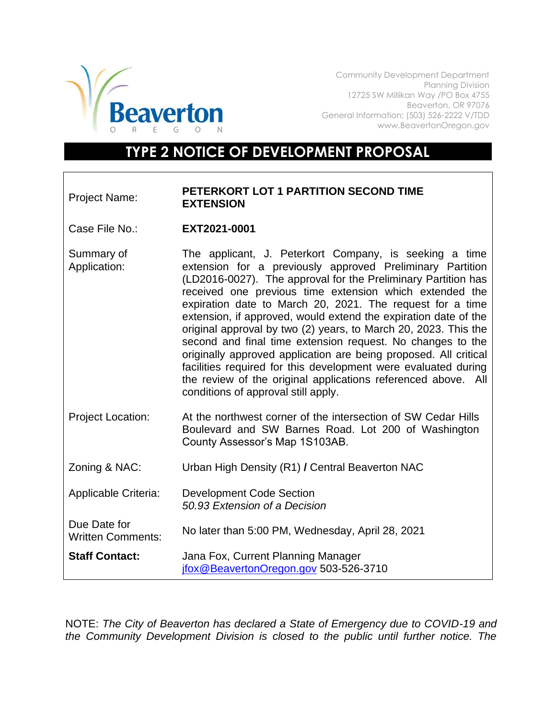

Community Development Department Planning Division 12725 SW Millikan Way /PO Box 4755 Beaverton, OR 97076 General Information: (503) 526-2222 V/TDD www.BeavertonOregon.gov

## **TYPE 2 NOTICE OF DEVELOPMENT PROPOSAL**

## Project Name: **PETERKORT LOT 1 PARTITION SECOND TIME EXTENSION**

Case File No.: **EXT2021-0001**

Summary of Application: The applicant, J. Peterkort Company, is seeking a time extension for a previously approved Preliminary Partition (LD2016-0027). The approval for the Preliminary Partition has received one previous time extension which extended the expiration date to March 20, 2021. The request for a time extension, if approved, would extend the expiration date of the original approval by two (2) years, to March 20, 2023. This the second and final time extension request. No changes to the originally approved application are being proposed. All critical facilities required for this development were evaluated during the review of the original applications referenced above. All conditions of approval still apply.

- Project Location: At the northwest corner of the intersection of SW Cedar Hills Boulevard and SW Barnes Road. Lot 200 of Washington County Assessor's Map 1S103AB.
- Zoning & NAC: Urban High Density (R1) **/** Central Beaverton NAC
- Applicable Criteria: Development Code Section *50.93 Extension of a Decision*
- Due Date for Written Comments: No later than 5:00 PM, Wednesday, April 28, 2021
- **Staff Contact:** Jana Fox, Current Planning Manager [jfox@BeavertonOregon.gov](mailto:jfox@BeavertonOregon.gov) 503-526-3710

NOTE: *The City of Beaverton has declared a State of Emergency due to COVID-19 and the Community Development Division is closed to the public until further notice. The*